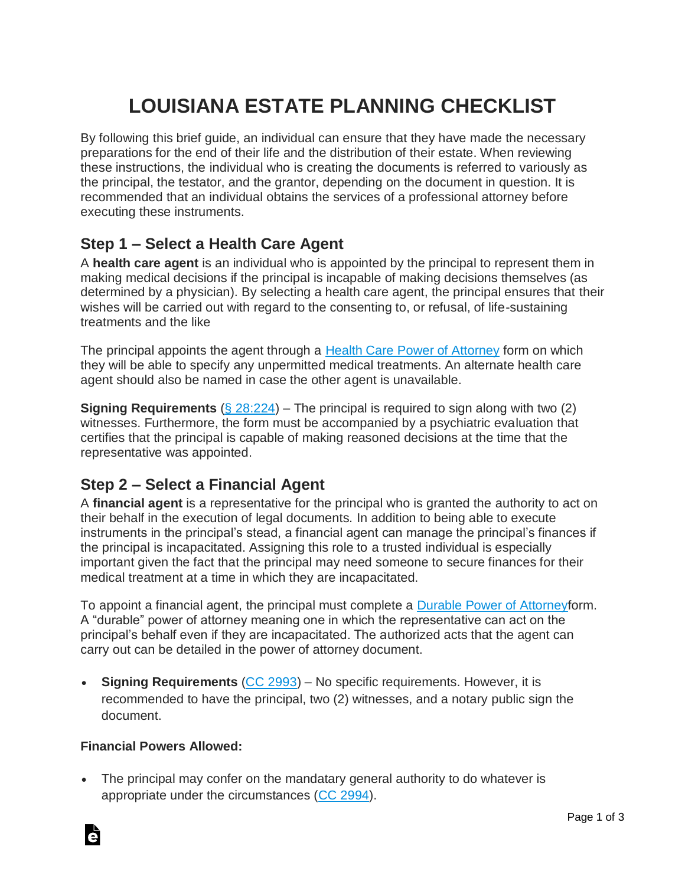## **LOUISIANA ESTATE PLANNING CHECKLIST**

By following this brief guide, an individual can ensure that they have made the necessary preparations for the end of their life and the distribution of their estate. When reviewing these instructions, the individual who is creating the documents is referred to variously as the principal, the testator, and the grantor, depending on the document in question. It is recommended that an individual obtains the services of a professional attorney before executing these instruments.

#### **Step 1 – Select a Health Care Agent**

A **health care agent** is an individual who is appointed by the principal to represent them in making medical decisions if the principal is incapable of making decisions themselves (as determined by a physician). By selecting a health care agent, the principal ensures that their wishes will be carried out with regard to the consenting to, or refusal, of life-sustaining treatments and the like

The principal appoints the agent through a [Health Care Power of Attorney](https://eforms.com/power-of-attorney/la/louisiana-health-care-power-of-attorney/) form on which they will be able to specify any unpermitted medical treatments. An alternate health care agent should also be named in case the other agent is unavailable.

**Signing Requirements** [\(§ 28:224\)](http://legis.la.gov/Legis/Law.aspx?p=y&d=85137) – The principal is required to sign along with two (2) witnesses. Furthermore, the form must be accompanied by a psychiatric evaluation that certifies that the principal is capable of making reasoned decisions at the time that the representative was appointed.

### **Step 2 – Select a Financial Agent**

A **financial agent** is a representative for the principal who is granted the authority to act on their behalf in the execution of legal documents. In addition to being able to execute instruments in the principal's stead, a financial agent can manage the principal's finances if the principal is incapacitated. Assigning this role to a trusted individual is especially important given the fact that the principal may need someone to secure finances for their medical treatment at a time in which they are incapacitated.

To appoint a financial agent, the principal must complete a [Durable Power of Attorneyf](https://eforms.com/power-of-attorney/la/louisiana-durable-power-of-attorney/)orm. A "durable" power of attorney meaning one in which the representative can act on the principal's behalf even if they are incapacitated. The authorized acts that the agent can carry out can be detailed in the power of attorney document.

**Signing Requirements** [\(CC 2993\)](https://www.legis.la.gov/legis/Law.aspx?p=y&d=110030) – No specific requirements. However, it is recommended to have the principal, two (2) witnesses, and a notary public sign the document.

#### **Financial Powers Allowed:**

• The principal may confer on the mandatary general authority to do whatever is appropriate under the circumstances [\(CC 2994\)](https://www.legis.la.gov/legis/Law.aspx?d=110031).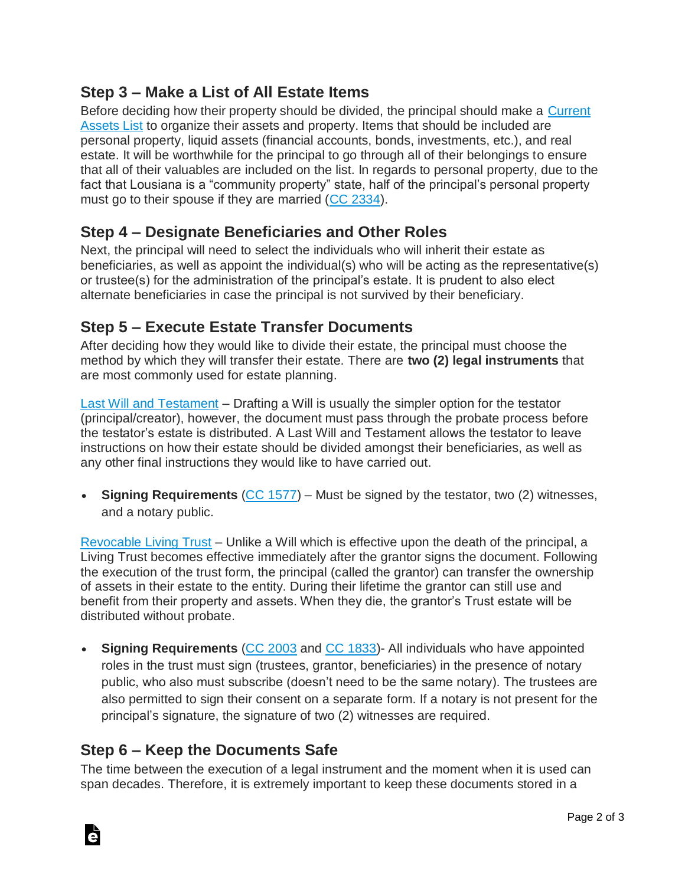### **Step 3 – Make a List of All Estate Items**

Before deciding how their property should be divided, the principal should make a [Current](https://eforms.com/estate-planning/current-assets-list/)  [Assets](https://eforms.com/estate-planning/current-assets-list/) List to organize their assets and property. Items that should be included are personal property, liquid assets (financial accounts, bonds, investments, etc.), and real estate. It will be worthwhile for the principal to go through all of their belongings to ensure that all of their valuables are included on the list. In regards to personal property, due to the fact that Lousiana is a "community property" state, half of the principal's personal property must go to their spouse if they are married [\(CC 2334\)](https://lcco.law.lsu.edu/?uid=85&ver=en).

#### **Step 4 – Designate Beneficiaries and Other Roles**

Next, the principal will need to select the individuals who will inherit their estate as beneficiaries, as well as appoint the individual(s) who will be acting as the representative(s) or trustee(s) for the administration of the principal's estate. It is prudent to also elect alternate beneficiaries in case the principal is not survived by their beneficiary.

#### **Step 5 – Execute Estate Transfer Documents**

After deciding how they would like to divide their estate, the principal must choose the method by which they will transfer their estate. There are **two (2) legal instruments** that are most commonly used for estate planning.

[Last Will and Testament](https://eforms.com/wills/louisiana-last-will-and-testament-template/) – Drafting a Will is usually the simpler option for the testator (principal/creator), however, the document must pass through the probate process before the testator's estate is distributed. A Last Will and Testament allows the testator to leave instructions on how their estate should be divided amongst their beneficiaries, as well as any other final instructions they would like to have carried out.

• **Signing Requirements** [\(CC 1577\)](https://law.justia.com/codes/louisiana/2017/code-civilcode/cc-1577/) – Must be signed by the testator, two (2) witnesses, and a notary public.

[Revocable Living Trust](https://eforms.com/living-trust/la/louisiana-revocable-living-trust-form/) – Unlike a Will which is effective upon the death of the principal, a Living Trust becomes effective immediately after the grantor signs the document. Following the execution of the trust form, the principal (called the grantor) can transfer the ownership of assets in their estate to the entity. During their lifetime the grantor can still use and benefit from their property and assets. When they die, the grantor's Trust estate will be distributed without probate.

• **Signing Requirements** [\(CC 2003](http://www.legis.la.gov/legis/Law.aspx?d=106867) and [CC 1833\)](http://www.legis.la.gov/legis/Law.aspx?d=109072)- All individuals who have appointed roles in the trust must sign (trustees, grantor, beneficiaries) in the presence of notary public, who also must subscribe (doesn't need to be the same notary). The trustees are also permitted to sign their consent on a separate form. If a notary is not present for the principal's signature, the signature of two (2) witnesses are required.

#### **Step 6 – Keep the Documents Safe**

à

The time between the execution of a legal instrument and the moment when it is used can span decades. Therefore, it is extremely important to keep these documents stored in a